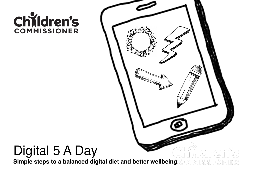# Children's

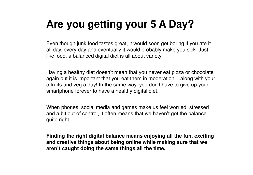#### **Are you getting your 5 A Day?**

Even though junk food tastes great, it would soon get boring if you ate it all day, every day and eventually it would probably make you sick. Just like food, a balanced digital diet is all about variety.

Having a healthy diet doesn't mean that you never eat pizza or chocolate again but it is important that you eat them in moderation – along with your 5 fruits and veg a day! In the same way, you don't have to give up your smartphone forever to have a healthy digital diet.

When phones, social media and games make us feel worried, stressed and a bit out of control, it often means that we haven't got the balance quite right.

**Finding the right digital balance means enjoying all the fun, exciting and creative things about being online while making sure that we aren't caught doing the same things all the time.**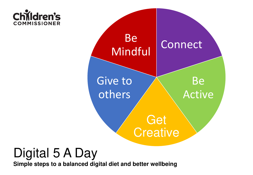



#### Digital 5 A Day

**Simple steps to a balanced digital diet and better wellbeing**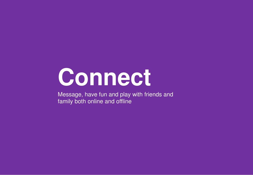### **Connect**

Message, have fun and play with friends and family both online and offline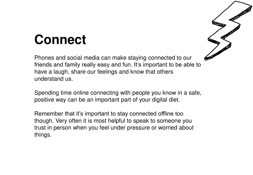### **Connect**

Phones and social media can make staying connected to our friends and family really easy and fun. It's important to be able to have a laugh, share our feelings and know that others understand us.

Spending time online connecting with people you know in a safe, positive way can be an important part of your digital diet.

Remember that it's important to stay connected offline too though. Very often it is most helpful to speak to someone you trust in person when you feel under pressure or worried about things.

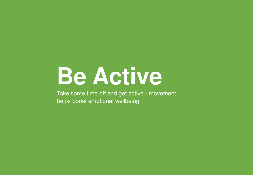### **Be Active**

Take some time off and get active - movement helps boost emotional wellbeing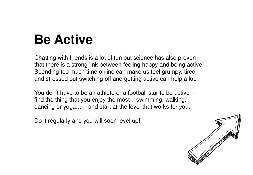### **Be Active**

Chatting with friends is a lot of fun but science has also proven that there is a strong link between feeling happy and being active. Spending too much time online can make us feel grumpy, tired and stressed but switching off and getting active can help a lot.

You don't have to be an athlete or a football star to be active – find the thing that you enjoy the most – swimming, walking, dancing or yoga… – and start at the level that works for you.

Do it regularly and you will soon level up!

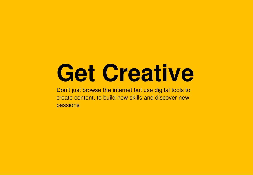## **Get Creative**

Don't just browse the internet but use digital tools to create content, to build new skills and discover new passions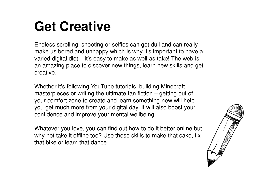#### **Get Creative**

Endless scrolling, shooting or selfies can get dull and can really make us bored and unhappy which is why it's important to have a varied digital diet – it's easy to make as well as take! The web is an amazing place to discover new things, learn new skills and get creative.

Whether it's following YouTube tutorials, building Minecraft masterpieces or writing the ultimate fan fiction – getting out of your comfort zone to create and learn something new will help you get much more from your digital day. It will also boost your confidence and improve your mental wellbeing.

Whatever you love, you can find out how to do it better online but why not take it offline too? Use these skills to make that cake, fix that bike or learn that dance.

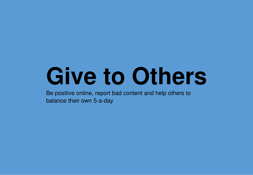## **Give to Others**

Be positive online, report bad content and help others to balance their own 5-a-day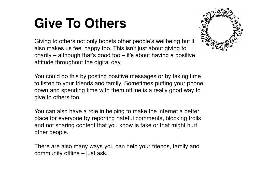### **Give To Others**

Giving to others not only boosts other people's wellbeing but it also makes us feel happy too. This isn't just about giving to charity – although that's good too – it's about having a positive attitude throughout the digital day.

You could do this by posting positive messages or by taking time to listen to your friends and family. Sometimes putting your phone down and spending time with them offline is a really good way to give to others too.

You can also have a role in helping to make the internet a better place for everyone by reporting hateful comments, blocking trolls and not sharing content that you know is fake or that might hurt other people.

There are also many ways you can help your friends, family and community offline – just ask.

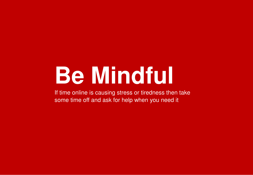## **Be Mindful**

If time online is causing stress or tiredness then take some time off and ask for help when you need it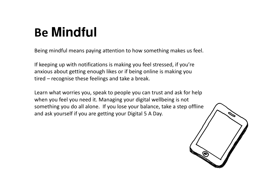### **Be Mindful**

Being mindful means paying attention to how something makes us feel.

If keeping up with notifications is making you feel stressed, if you're anxious about getting enough likes or if being online is making you tired – recognise these feelings and take a break.

Learn what worries you, speak to people you can trust and ask for help when you feel you need it. Managing your digital wellbeing is not something you do all alone. If you lose your balance, take a step offline and ask yourself if you are getting your Digital 5 A Day.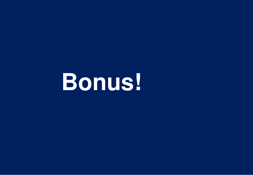**Bonus!**